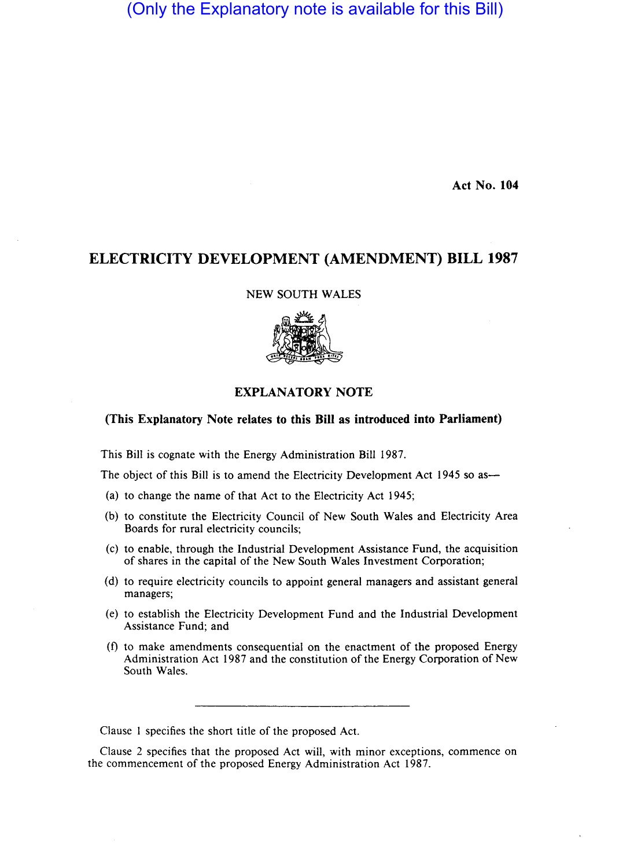# (Only the Explanatory note is available for this Bill)

Act No. 104

# ELECTRICITY DEVELOPMENT (AMENDMENT) BILL 1987

NEW SOUTH WALES



## EXPLANATORY NOTE

### (This Explanatory Note relates to this Bill as introduced into Parliament)

This Bill is cognate with the Energy Administration Bill 1987.

The object of this Bill is to amend the Electricity Development Act 1945 so as—

- (a) to change the name of that Act to the Electricity Act 1945;
- (b) to constitute the Electricity Council of New South Wales and Electricity Area Boards for rural electricity councils;
- (c) to enable, through the Industrial Development Assistance Fund, the acquisition of shares in the capital of the New South Wales Investment Corporation;
- (d) to require electricity councils to appoint general managers and assistant general managers;
- (e) to establish the Electricity Development Fund and the Industrial Development Assistance Fund; and
- (f) to make amendments consequential on the enactment of the proposed Energy Administration Act 1987 and the constitution of the Energy Corporation of New South Wales.

Clause I specifies the short title of the proposed Act.

Clause 2 specifies that the proposed Act will, with minor exceptions, commence on the commencement of the proposed Energy Administration Act 1987.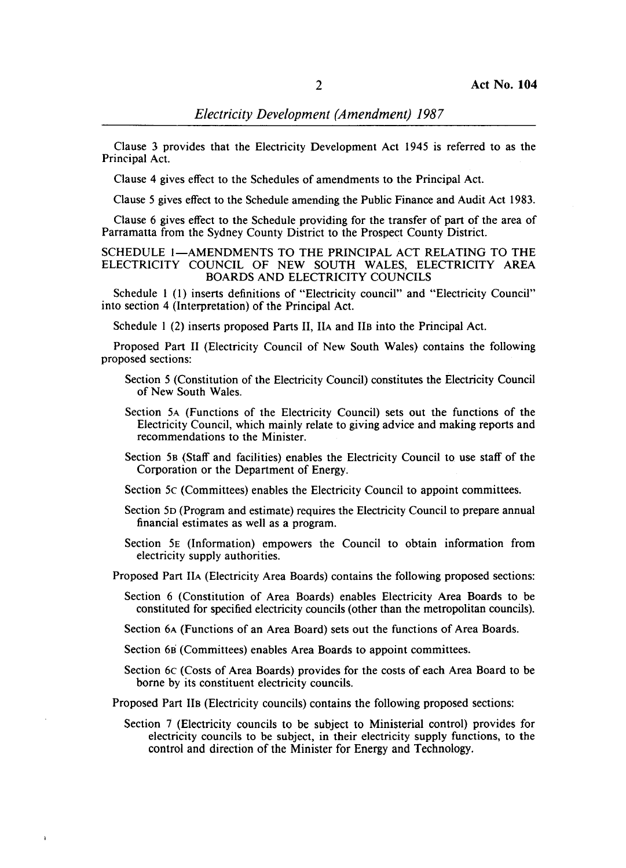Clause 3 provides that the Electricity Development Act 1945 is referred to as the Principal Act.

Clause 4 gives effect to the Schedules of amendments to the Principal Act.

Clause 5 gives effect to the Schedule amending the Public Finance and Audit Act 1983.

Clause 6 gives effect to the Schedule providing for the transfer of part of the area of Parramatta from the Sydney County District to the Prospect County District.

SCHEDULE I-AMENDMENTS TO THE PRINCIPAL ACT RELATING TO THE ELECTRICITY COUNCIL OF NEW SOUTH WALES, ELECTRICITY AREA BOARDS AND ELECTRICITY COUNCILS

Schedule 1 (I) inserts definitions of "Electricity council" and "Electricity Council" into section 4 (Interpretation) of the Principal Act.

Schedule I (2) inserts proposed Parts 11, IIA and lIB into the Principal Act.

Proposed Part 11 (Electricity Council of New South Wales) contains the following proposed sections:

- Section 5 (Constitution of the Electricity Council) constitutes the Electricity Council of New South Wales.
- Section 5A (Functions of the Electricity Council) sets out the functions of the Electricity Council, which mainly relate to giving advice and making reports and recommendations to the Minister.
- Section 5B (Staff and facilities) enables the Electricity Council to use staff of the Corporation or the Department of Energy.
- Section 5c (Committees) enables the Electricity Council to appoint committees.
- Section 5D (Program and estimate) requires the Electricity Council to prepare annual financial estimates as well as a program.
- Section 5E (Information) empowers the Council to obtain information from electricity supply authorities.
- Proposed Part IIA (Electricity Area Boards) contains the following proposed sections:
	- Section 6 (Constitution of Area Boards) enables Electricity Area Boards to be constituted for specified electricity councils (other than the metropolitan councils).
	- Section 6A (Functions of an Area Board) sets out the functions of Area Boards.
	- Section 6B (Committees) enables Area Boards to appoint committees.
	- Section 6c (Costs of Area Boards) provides for the costs of each Area Board to be borne by its constituent electricity councils.

Proposed Part lIB (Electricity councils) contains the following proposed sections:

Section 7 (Electricity councils to be subject to Ministerial control) provides for electricity councils to be subject, in their electricity supply functions, to the control and direction of the Minister for Energy and Technology.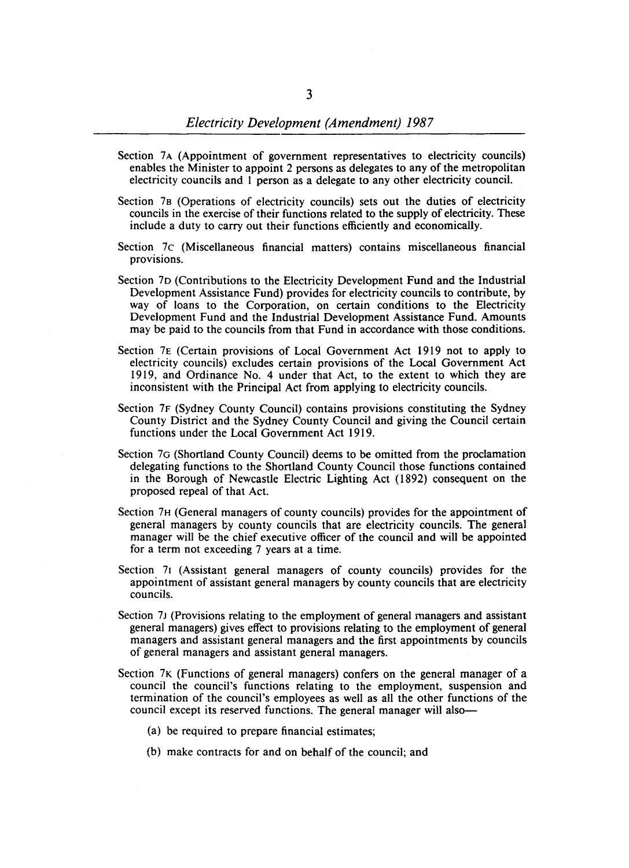- Section 7A (Appointment of government representatives to electricity councils) enables the Minister to appoint 2 persons as delegates to any of the metropolitan electricity councils and I person as a delegate to any other electricity council.
- Section 7B (Operations of electricity councils) sets out the duties of electricity councils in the exercise of their functions related to the supply of electricity. These include a duty to carry out their functions efficiently and economically.
- Section 7c (Miscellaneous financial matters) contains miscellaneous financial provisions.
- Section 7D (Contributions to the Electricity Development Fund and the Industrial Development Assistance Fund) provides for electricity councils to contribute, by way of loans to the Corporation, on certain conditions to the Electricity Development Fund and the Industrial Development Assistance Fund. Amounts may be paid to the councils from that Fund in accordance with those conditions.
- Section 7E (Certain provisions of Local Government Act 1919 not to apply to electricity councils) excludes certain provisions of the Local Government Act 1919, and Ordinance No. 4 under that Act, to the extent to which they are inconsistent with the Principal Act from applying to electricity councils.
- Section 7F (Sydney County Council) contains provisions constituting the Sydney County District and the Sydney County Council and giving the Council certain functions under the Local Government Act 1919.
- Section 70 (Shortland County Council) deems to be omitted from the proclamation delegating functions to the Shortland County Council those functions contained in the Borough of Newcastle Electric Lighting Act (1892) consequent on the proposed repeal of that Act.
- Section 7H (General managers of county councils) provides for the appointment of general managers by county councils that are electricity councils. The general manager will be the chief executive officer of the council and will be appointed for a term not exceeding 7 years at a time.
- Section 71 (Assistant general managers of county councils) provides for the appointment of assistant general managers by county councils that are electricity councils.
- Section 7J (Provisions relating to the employment of general managers and assistant general managers) gives effect to provisions relating to the employment of general managers and assistant general managers and the first appointments by councils of general managers and assistant general managers.
- Section 7K (Functions of general managers) confers on the general manager of a council the council's functions relating to the employment, suspension and termination of the council's employees as well as all the other functions of the council except its reserved functions. The general manager will also-
	- (a) be required to prepare financial estimates;
	- (b) make contracts for and on behalf of the council; and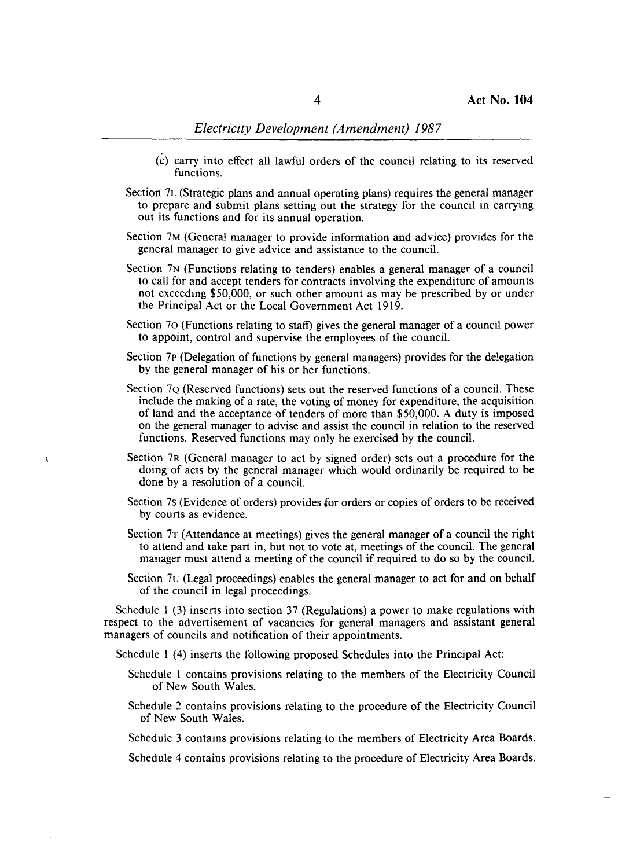- (c) carry into effect all lawful orders of the council relating to its reserved functions.
- Section 7L (Strategic plans and annual operating plans) requires the general manager to prepare and submit plans setting out the strategy for the council in carrying out its functions and for its annual operation.
- Section 7M (Genera! manager to provide information and advice) provides for the general manager to give advice and assistance to the council.
- Section 7N (Functions relating to tenders) enables a general manager of a council to call for and accept tenders for contracts involving the expenditure of amounts not exceeding \$50,000, or such other amount as may be prescribed by or under the Principal Act or the Local Government Act 1919.
- Section 70 (Functions relating to staff) gives the general manager of a council power to appoint, control and supervise the employees of the council.
- Section 7p (Delegation of functions by general managers) provides for the delegation by the general manager of his or her functions.
- Section 7Q (Reserved functions) sets out the reserved functions of a council. These include the making of a rate, the voting of money for expenditure, the acquisition of land and the acceptance of tenders of more than \$50,000. A duty is imposed on the general manager to advise and assist the council in relation to the reserved functions. Reserved functions may only be exercised by the council.
- Section 7R (General manager to act by signed order) sets out a procedure for the doing of acts by the general manager which would ordinarily be required to be done by a resolution of a council.

í

- Section 7s (Evidence of orders) provides for orders or copies of orders to be received by courts as evidence.
- Section 7T (Attendance at meetings) gives the general manager of a council the right to attend and take part in, but not to vote at, meetings of the council. The general manager must attend a meeting of the council if required to do so by the council.
- Section 7u (Legal proceedings) enables the general manager to act for and on behalf of the council in legal proceedings.

Schedule 1 (3) inserts into section 37 (Regulations) a power to make regulations with respect to the advertisement of vacancies for general managers and assistant general managers of councils and notification of their appointments.

Schedule 1 (4) inserts the following proposed Schedules into the Principal Act:

- Schedule 1 contains provisions relating to the members of the Electricity Council of New South Wales.
- Schedule 2 contains provisions relating to the procedure of the Electricity Council of New South Wales.

Schedule 3 contains provisions relating to the members of Electricity Area Boards.

Schedule 4 contains provisions relating to the procedure of Electricity Area Boards.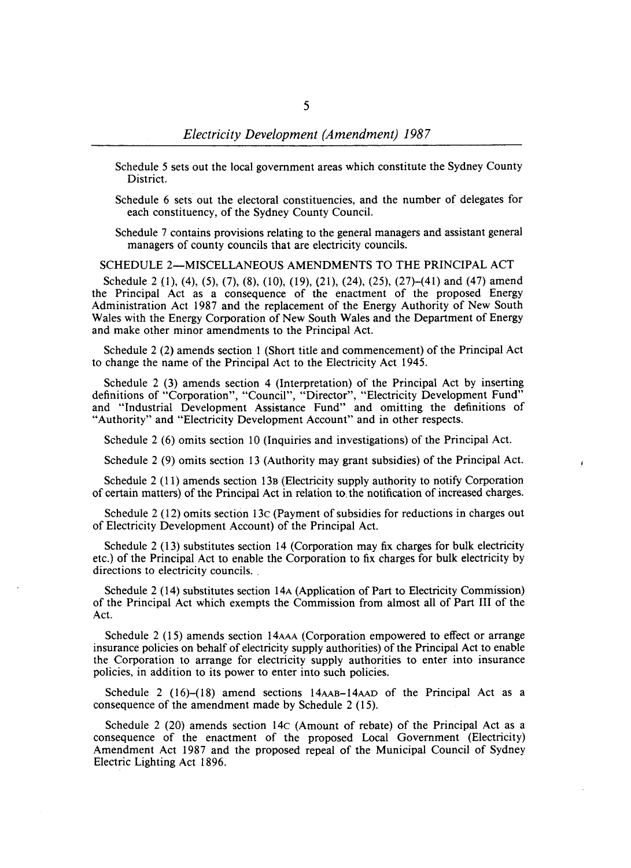Schedule 5 sets out the local government areas which constitute the Sydney County District.

Schedule 6 sets out the electoral constituencies, and the number of delegates for each constituency, of the Sydney County Council.

Schedule 7 contains provisions relating to the general managers and assistant general managers of county councils that are electricity councils.

SCHEDULE 2-MISCELLANEOUS AMENDMENTS TO THE PRINCIPAL ACT

Schedule 2 (1), (4), (5), (7), (8), (10), (19), (21), (24), (25), (27)–(41) and (47) amend the Principal Act as a consequence of the enactment of the proposed Energy Administration Act 1987 and the replacement of the Energy Authority of New South Wales with the Energy Corporation of New South Wales and the Department of Energy and make other minor amendments to the Principal Act.

Schedule 2 (2) amends section I (Short title and commencement) of the Principal Act to change the name of the Principal Act to the Electricity Act 1945.

Schedule 2 (3) amends section 4 (Interpretation) of the Principal Act by inserting definitions of "Corporation", "Council", "Director", "Electricity Development Fund" and "Industrial Development Assistance Fund" and omitting the definitions of "Authority" and "Electricity Development Account" and in other respects.

Schedule  $2(6)$  omits section 10 (Inquiries and investigations) of the Principal Act.

Schedule 2 (9) omits section 13 (Authority may grant subsidies) of the Principal Act.

Schedule 2 (11) amends section 13B (Electricity supply authority to notify Corporation of certain matters) of the Principal Act in relation to, the notification of increased charges.

Schedule 2 (12) omits section 13c (Payment of subsidies for reductions in charges out of Electricity Development Account) of the Principal Act.

Schedule 2 (13) substitutes section 14 (Corporation may fix charges for bulk electricity etc.) of the Principal Act to enable the Corporation to fix charges for bulk electricity by directions to electricity councils.

Schedule 2 (14) substitutes section 14A (Application of Part to Electricity Commission) of the Principal Act which exempts the Commission from almost all of Part **III** of the Act.

Schedule 2 (15) amends section 14AAA (Corporation empowered to effect or arrange insurance policies on behalf of electricity supply authorities) of the Principal Act to enable the Corporation to arrange for electricity supply authorities to enter into insurance policies, in addition to its power to enter into such policies.

Schedule 2 (16)-(18) amend sections 14AAB-14AAD of the Principal Act as a consequence of the amendment made by Schedule 2 (15).

Schedule 2 (20) amends section 14c (Amount of rebate) of the Principal Act as a consequence of the enactment of the proposed Local Government (Electricity) Amendment Act 1987 and the proposed repeal of the Municipal Council of Sydney Electric Lighting Act 1896.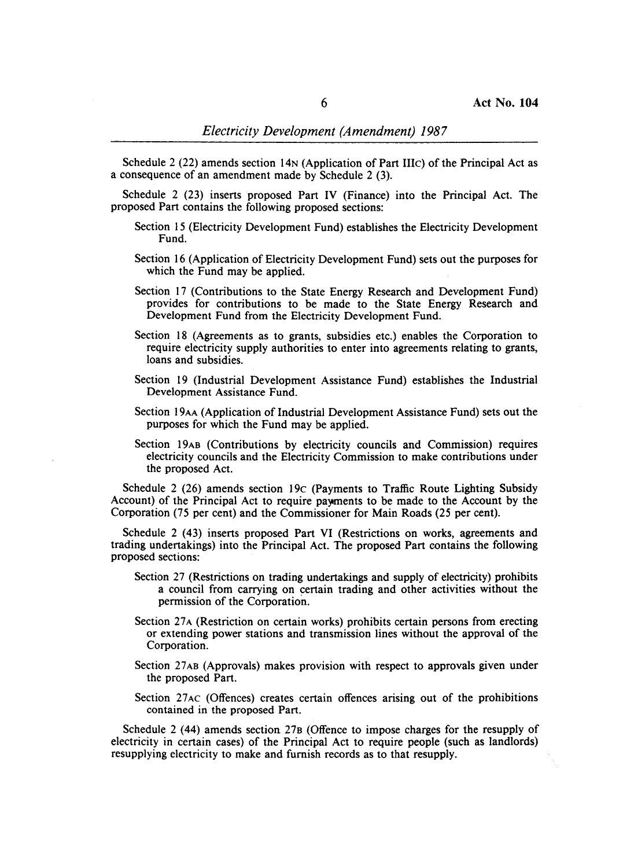Schedule 2 (22) amends section 14N (Application of Part IIIc) of the Principal Act as a consequence of an amendment made by Schedule 2 (3).

Schedule 2 (23) inserts proposed Part IV (Finance) into the Principal Act. The proposed Part contains the following proposed sections:

- Section 15 (Electricity Development Fund) establishes the Electricity Development Fund.
- Section 16 (Application of Electricity Development Fund) sets out the purposes for which the Fund may be applied.
- Section 17 (Contributions to the State Energy Research and Development Fund) provides for contributions to be made to the State Energy Research and Development Fund from the Electricity Development Fund.
- Section 18 (Agreements as to grants, subsidies etc.) enables the Corporation to require electricity supply authorities to enter into agreements relating to grants, loans and subsidies.
- Section 19 (Industrial Development Assistance Fund) establishes the Industrial Development Assistance Fund.
- Section 19AA (Application of Industrial Development Assistance Fund) sets out the purposes for which the Fund may be applied.
- Section 19AB (Contributions by electricity councils and Commission) requires electricity councils and the Electricity Commission to make contributions under the proposed Act.

Schedule 2 (26) amends section 19c (Payments to Traffic Route Lighting Subsidy Account) of the Principal Act to require payments to be made to the Account by the Corporation (75 per cent) and the Commissioner for Main Roads (25 per cent).

Schedule 2 (43) inserts proposed Part VI (Restrictions on works, agreements and trading undertakings) into the Principal Act. The proposed Part contains the following proposed sections:

- Section 27 (Restrictions on trading undertakings and supply of electricity) prohibits a council from carrying on certain trading and other activities without the permission of the Corporation.
- Section 27A (Restriction on certain works) prohibits certain persons from erecting or extending power stations and transmission lines without the approval of the Corporation.
- Section 27AB (Approvals) makes provision with respect to approvals given under the proposed Part.
- Section 27AC (Offences) creates certain offences arising out of the prohibitions contained in the proposed Part.

Schedule 2 (44) amends section 27B (Offence to impose charges for the resupply of electricity in certain cases) of the Principal Act to require people (such as landlords) resupplying electricity to make and furnish records as to that resupply.